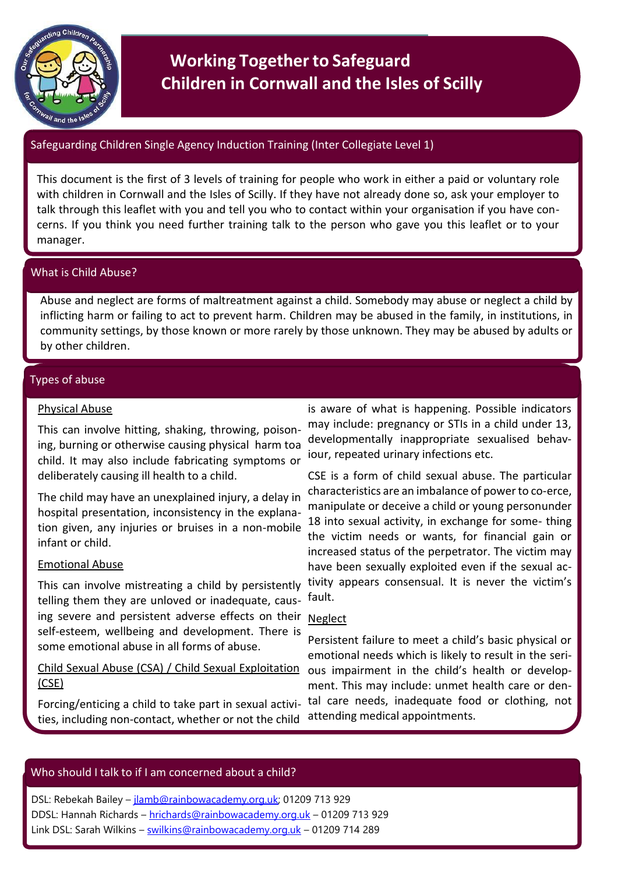

# **Working Together to Safeguard Children in Cornwall and the Isles of Scilly**

# Safeguarding Children Single Agency Induction Training (Inter Collegiate Level 1)

This document is the first of 3 levels of training for people who work in either a paid or voluntary role with children in Cornwall and the Isles of Scilly. If they have not already done so, ask your employer to talk through this leaflet with you and tell you who to contact within your organisation if you have concerns. If you think you need further training talk to the person who gave you this leaflet or to your manager.

# What is Child Abuse?

Abuse and neglect are forms of maltreatment against a child. Somebody may abuse or neglect a child by inflicting harm or failing to act to prevent harm. Children may be abused in the family, in institutions, in community settings, by those known or more rarely by those unknown. They may be abused by adults or by other children.

# Types of abuse

# Physical Abuse

This can involve hitting, shaking, throwing, poisoning, burning or otherwise causing physical harm toa child. It may also include fabricating symptoms or deliberately causing ill health to a child.

The child may have an unexplained injury, a delay in hospital presentation, inconsistency in the explanation given, any injuries or bruises in a non-mobile infant or child.

# Emotional Abuse

This can involve mistreating a child by persistently telling them they are unloved or inadequate, causing severe and persistent adverse effects on their Neglect self-esteem, wellbeing and development. There is some emotional abuse in all forms of abuse.

Child Sexual Abuse (CSA) / Child Sexual Exploitation (CSE)

Forcing/enticing a child to take part in sexual activities, including non-contact, whether or not the child

is aware of what is happening. Possible indicators may include: pregnancy or STIs in a child under 13, developmentally inappropriate sexualised behaviour, repeated urinary infections etc.

CSE is a form of child sexual abuse. The particular characteristics are an imbalance of power to co-erce, manipulate or deceive a child or young personunder 18 into sexual activity, in exchange for some- thing the victim needs or wants, for financial gain or increased status of the perpetrator. The victim may have been sexually exploited even if the sexual activity appears consensual. It is never the victim's fault.

Persistent failure to meet a child's basic physical or emotional needs which is likely to result in the serious impairment in the child's health or development. This may include: unmet health care or dental care needs, inadequate food or clothing, not attending medical appointments.

# Who should I talk to if I am concerned about a child?

DSL: Rebekah Bailey – [jlamb@rainbowacademy.org.uk;](mailto:jlamb@rainbowacademy.org.uk) 01209 713 929 DDSL: Hannah Richards – [hrichards@rainbowacademy.org.uk](mailto:hrichards@rainbowacademy.org.uk) – 01209 713 929 Link DSL: Sarah Wilkins - [swilkins@rainbowacademy.org.uk](mailto:swilkins@rainbowacademy.org.uk) - 01209 714 289